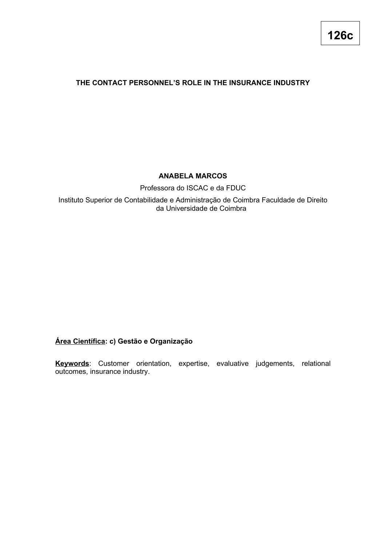# **THE CONTACT PERSONNEL'S ROLE IN THE INSURANCE INDUSTRY**

# **ANABELA MARCOS**

Professora do ISCAC e da FDUC

Instituto Superior de Contabilidade e Administração de Coimbra Faculdade de Direito da Universidade de Coimbra

# **Área Científica: c) Gestão e Organização**

**Keywords**: Customer orientation, expertise, evaluative judgements, relational outcomes, insurance industry.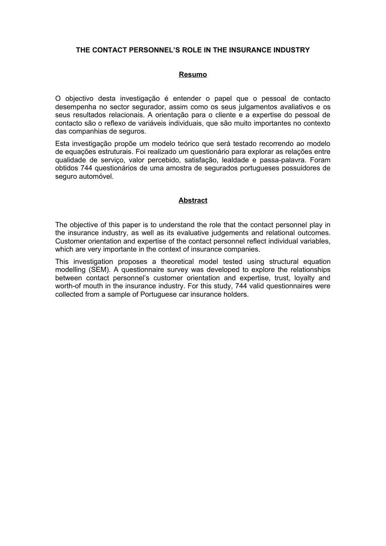### **THE CONTACT PERSONNEL'S ROLE IN THE INSURANCE INDUSTRY**

### **Resumo**

O objectivo desta investigação é entender o papel que o pessoal de contacto desempenha no sector segurador, assim como os seus julgamentos avaliativos e os seus resultados relacionais. A orientação para o cliente e a expertise do pessoal de contacto são o reflexo de variáveis individuais, que são muito importantes no contexto das companhias de seguros.

Esta investigação propõe um modelo teórico que será testado recorrendo ao modelo de equações estruturais. Foi realizado um questionário para explorar as relações entre qualidade de serviço, valor percebido, satisfação, lealdade e passa-palavra. Foram obtidos 744 questionários de uma amostra de segurados portugueses possuidores de seguro automóvel.

#### **Abstract**

The objective of this paper is to understand the role that the contact personnel play in the insurance industry, as well as its evaluative judgements and relational outcomes. Customer orientation and expertise of the contact personnel reflect individual variables, which are very importante in the context of insurance companies.

This investigation proposes a theoretical model tested using structural equation modelling (SEM). A questionnaire survey was developed to explore the relationships between contact personnel's customer orientation and expertise, trust, loyalty and worth-of mouth in the insurance industry. For this study, 744 valid questionnaires were collected from a sample of Portuguese car insurance holders.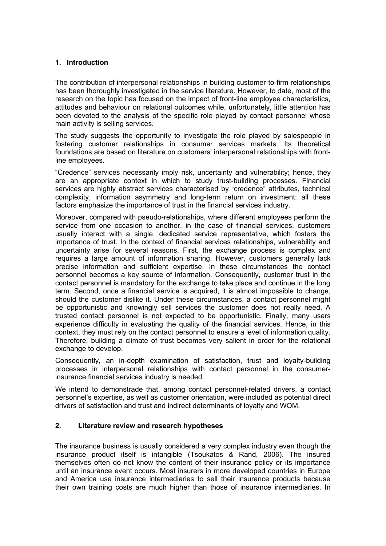### **1. Introduction**

The contribution of interpersonal relationships in building customer-to-firm relationships has been thoroughly investigated in the service literature. However, to date, most of the research on the topic has focused on the impact of front-line employee characteristics, attitudes and behaviour on relational outcomes while, unfortunately, little attention has been devoted to the analysis of the specific role played by contact personnel whose main activity is selling services.

The study suggests the opportunity to investigate the role played by salespeople in fostering customer relationships in consumer services markets. Its theoretical foundations are based on literature on customers' interpersonal relationships with frontline employees.

"Credence" services necessarily imply risk, uncertainty and vulnerability; hence, they are an appropriate context in which to study trust-building processes. Financial services are highly abstract services characterised by "credence" attributes, technical complexity, information asymmetry and long-term return on investment: all these factors emphasize the importance of trust in the financial services industry.

Moreover, compared with pseudo-relationships, where different employees perform the service from one occasion to another, in the case of financial services, customers usually interact with a single, dedicated service representative, which fosters the importance of trust. In the context of financial services relationships, vulnerability and uncertainty arise for several reasons. First, the exchange process is complex and requires a large amount of information sharing. However, customers generally lack precise information and sufficient expertise. In these circumstances the contact personnel becomes a key source of information. Consequently, customer trust in the contact personnel is mandatory for the exchange to take place and continue in the long term. Second, once a financial service is acquired, it is almost impossible to change, should the customer dislike it. Under these circumstances, a contact personnel might be opportunistic and knowingly sell services the customer does not really need. A trusted contact personnel is not expected to be opportunistic. Finally, many users experience difficulty in evaluating the quality of the financial services. Hence, in this context, they must rely on the contact personnel to ensure a level of information quality. Therefore, building a climate of trust becomes very salient in order for the relational exchange to develop.

Consequently, an in-depth examination of satisfaction, trust and loyalty-building processes in interpersonal relationships with contact personnel in the consumerinsurance financial services industry is needed.

We intend to demonstrade that, among contact personnel-related drivers, a contact personnel's expertise, as well as customer orientation, were included as potential direct drivers of satisfaction and trust and indirect determinants of loyalty and WOM.

### **2. Literature review and research hypotheses**

The insurance business is usually considered a very complex industry even though the insurance product itself is intangible (Tsoukatos & Rand, 2006). The insured themselves often do not know the content of their insurance policy or its importance until an insurance event occurs. Most insurers in more developed countries in Europe and America use insurance intermediaries to sell their insurance products because their own training costs are much higher than those of insurance intermediaries. In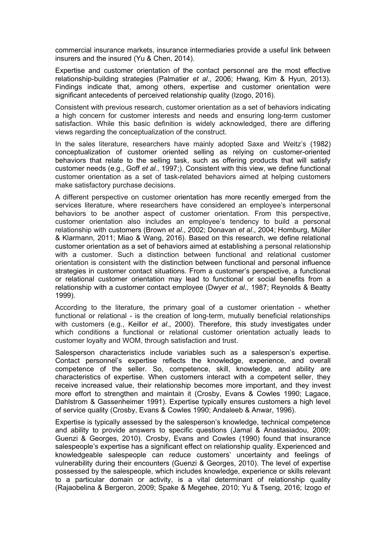commercial insurance markets, insurance intermediaries provide a useful link between insurers and the insured (Yu & Chen, 2014).

Expertise and customer orientation of the contact personnel are the most effective relationship-building strategies (Palmatier *et al*., 2006; Hwang, Kim & Hyun, 2013). Findings indicate that, among others, expertise and customer orientation were significant antecedents of perceived relationship quality (Izogo, 2016).

Consistent with previous research, customer orientation as a set of behaviors indicating a high concern for customer interests and needs and ensuring long-term customer satisfaction. While this basic definition is widely acknowledged, there are differing views regarding the conceptualization of the construct.

In the sales literature, researchers have mainly adopted Saxe and Weitz's (1982) conceptualization of customer oriented selling as relying on customer-oriented behaviors that relate to the selling task, such as offering products that will satisfy customer needs (e.g., Goff *et al.*, 1997;). Consistent with this view, we define functional customer orientation as a set of task-related behaviors aimed at helping customers make satisfactory purchase decisions.

A different perspective on customer orientation has more recently emerged from the services literature, where researchers have considered an employee's interpersonal behaviors to be another aspect of customer orientation. From this perspective, customer orientation also includes an employee's tendency to build a personal relationship with customers (Brown *et al*., 2002; Donavan *et al*., 2004; Homburg, Müller & Klarmann, 2011; Miao & Wang, 2016). Based on this research, we define relational customer orientation as a set of behaviors aimed at establishing a personal relationship with a customer. Such a distinction between functional and relational customer orientation is consistent with the distinction between functional and personal influence strategies in customer contact situations. From a customer's perspective, a functional or relational customer orientation may lead to functional or social benefits from a relationship with a customer contact employee (Dwyer *et al.,* 1987; Reynolds & Beatty 1999).

According to the literature, the primary goal of a customer orientation - whether functional or relational - is the creation of long-term, mutually beneficial relationships with customers (e.g., Keillor *et al*., 2000). Therefore, this study investigates under which conditions a functional or relational customer orientation actually leads to customer loyalty and WOM, through satisfaction and trust.

Salesperson characteristics include variables such as a salesperson's expertise. Contact personnel's expertise reflects the knowledge, experience, and overall competence of the seller. So, competence, skill, knowledge, and ability are characteristics of expertise. When customers interact with a competent seller, they receive increased value, their relationship becomes more important, and they invest more effort to strengthen and maintain it (Crosby, Evans & Cowles 1990; Lagace, Dahlstrom & Gassenheimer 1991). Expertise typically ensures customers a high level of service quality (Crosby, Evans & Cowles 1990; Andaleeb & Anwar, 1996).

Expertise is typically assessed by the salesperson's knowledge, technical competence and ability to provide answers to specific questions (Jamal & Anastasiadou, 2009; Guenzi & Georges, 2010). Crosby, Evans and Cowles (1990) found that insurance salespeople's expertise has a significant effect on relationship quality. Experienced and knowledgeable salespeople can reduce customers' uncertainty and feelings of vulnerability during their encounters (Guenzi & Georges, 2010). The level of expertise possessed by the salespeople, which includes knowledge, experience or skills relevant to a particular domain or activity, is a vital determinant of relationship quality (Rajaobelina & Bergeron, 2009; Spake & Megehee, 2010; Yu & Tseng, 2016; Izogo *et*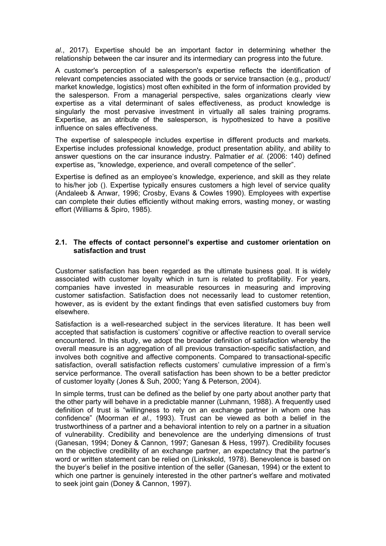*al*., 2017). Expertise should be an important factor in determining whether the relationship between the car insurer and its intermediary can progress into the future.

A customer's perception of a salesperson's expertise reflects the identification of relevant competencies associated with the goods or service transaction (e.g., product/ market knowledge, logistics) most often exhibited in the form of information provided by the salesperson. From a managerial perspective, sales organizations clearly view expertise as a vital determinant of sales effectiveness, as product knowledge is singularly the most pervasive investment in virtually all sales training programs. Expertise, as an atribute of the salesperson, is hypothesized to have a positive influence on sales effectiveness.

The expertise of salespeople includes expertise in different products and markets. Expertise includes professional knowledge, product presentation ability, and ability to answer questions on the car insurance industry. Palmatier *et al.* (2006: 140) defined expertise as, "knowledge, experience, and overall competence of the seller".

Expertise is defined as an employee's knowledge, experience, and skill as they relate to his/her job (). Expertise typically ensures customers a high level of service quality (Andaleeb & Anwar, 1996; Crosby, Evans & Cowles 1990). Employees with expertise can complete their duties efficiently without making errors, wasting money, or wasting effort (Williams & Spiro, 1985).

#### **2.1. The effects of contact personnel's expertise and customer orientation on satisfaction and trust**

Customer satisfaction has been regarded as the ultimate business goal. It is widely associated with customer loyalty which in turn is related to profitability. For years, companies have invested in measurable resources in measuring and improving customer satisfaction. Satisfaction does not necessarily lead to customer retention, however, as is evident by the extant findings that even satisfied customers buy from elsewhere.

Satisfaction is a well-researched subject in the services literature. It has been well accepted that satisfaction is customers' cognitive or affective reaction to overall service encountered. In this study, we adopt the broader definition of satisfaction whereby the overall measure is an aggregation of all previous transaction-specific satisfaction, and involves both cognitive and affective components. Compared to transactional-specific satisfaction, overall satisfaction reflects customers' cumulative impression of a firm's service performance. The overall satisfaction has been shown to be a better predictor of customer loyalty (Jones & Suh, 2000; Yang & Peterson, 2004).

In simple terms, trust can be defined as the belief by one party about another party that the other party will behave in a predictable manner (Luhmann, 1988). A frequently used definition of trust is "willingness to rely on an exchange partner in whom one has confidence" (Moorman *et al*., 1993). Trust can be viewed as both a belief in the trustworthiness of a partner and a behavioral intention to rely on a partner in a situation of vulnerability. Credibility and benevolence are the underlying dimensions of trust (Ganesan, 1994; Doney & Cannon, 1997; Ganesan & Hess, 1997). Credibility focuses on the objective credibility of an exchange partner, an expectatncy that the partner's word or written statement can be relied on (Linkskold, 1978). Benevolence is based on the buyer's belief in the positive intention of the seller (Ganesan, 1994) or the extent to which one partner is genuinely interested in the other partner's welfare and motivated to seek joint gain (Doney & Cannon, 1997).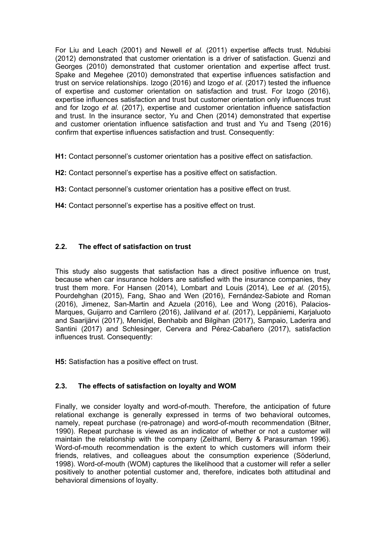For Liu and Leach (2001) and Newell *et al.* (2011) expertise affects trust. Ndubisi (2012) demonstrated that customer orientation is a driver of satisfaction. Guenzi and Georges (2010) demonstrated that customer orientation and expertise affect trust. Spake and Megehee (2010) demonstrated that expertise influences satisfaction and trust on service relationships. Izogo (2016) and Izogo *et al*. (2017) tested the influence of expertise and customer orientation on satisfaction and trust. For Izogo (2016), expertise influences satisfaction and trust but customer orientation only influences trust and for Izogo *et al.* (2017), expertise and customer orientation influence satisfaction and trust. In the insurance sector, Yu and Chen (2014) demonstrated that expertise and customer orientation influence satisfaction and trust and Yu and Tseng (2016) confirm that expertise influences satisfaction and trust. Consequently:

**H1:** Contact personnel's customer orientation has a positive effect on satisfaction.

**H2:** Contact personnel's expertise has a positive effect on satisfaction.

**H3:** Contact personnel's customer orientation has a positive effect on trust.

**H4:** Contact personnel's expertise has a positive effect on trust.

# **2.2. The effect of satisfaction on trust**

This study also suggests that satisfaction has a direct positive influence on trust, because when car insurance holders are satisfied with the insurance companies, they trust them more. For Hansen (2014), Lombart and Louis (2014), Lee *et al.* (2015), Pourdehghan (2015), Fang, Shao and Wen (2016), Fernández-Sabiote and Roman (2016), Jimenez, San-Martin and Azuela (2016), Lee and Wong (2016), Palacios-Marques, Guijarro and Carrilero (2016), Jalilvand *et al*. (2017), Leppäniemi, Karjaluoto and Saarijärvi (2017), Menidjel, Benhabib and Bilgihan (2017), Sampaio, Laderira and Santini (2017) and Schlesinger, Cervera and Pérez-Cabañero (2017), satisfaction influences trust. Consequently:

**H5:** Satisfaction has a positive effect on trust.

### **2.3. The effects of satisfaction on loyalty and WOM**

Finally, we consider loyalty and word-of-mouth. Therefore, the anticipation of future relational exchange is generally expressed in terms of two behavioral outcomes, namely, repeat purchase (re-patronage) and word-of-mouth recommendation (Bitner, 1990). Repeat purchase is viewed as an indicator of whether or not a customer will maintain the relationship with the company (Zeithaml, Berry & Parasuraman 1996). Word-of-mouth recommendation is the extent to which customers will inform their friends, relatives, and colleagues about the consumption experience (Söderlund, 1998). Word-of-mouth (WOM) captures the likelihood that a customer will refer a seller positively to another potential customer and, therefore, indicates both attitudinal and behavioral dimensions of loyalty.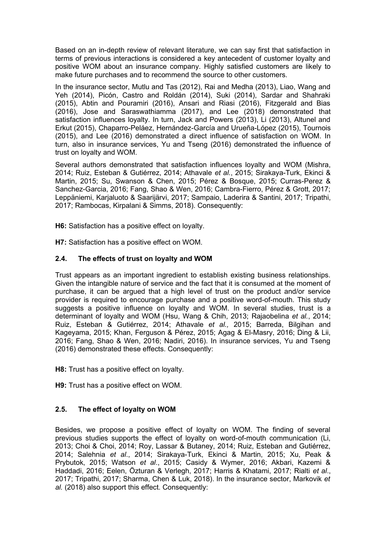Based on an in-depth review of relevant literature, we can say first that satisfaction in terms of previous interactions is considered a key antecedent of customer loyalty and positive WOM about an insurance company. Highly satisfied customers are likely to make future purchases and to recommend the source to other customers.

In the insurance sector, Mutlu and Tas (2012), Rai and Medha (2013), Liao, Wang and Yeh (2014), Picón, Castro and Roldán (2014), Suki (2014), Sardar and Shahraki (2015), Abtin and Pouramiri (2016), Ansari and Riasi (2016), Fitzgerald and Bias (2016), Jose and Saraswathiamma (2017), and Lee (2018) demonstrated that satisfaction influences loyalty. In turn, Jack and Powers (2013), Li (2013), Altunel and Erkut (2015), Chaparro-Peláez, Hernández-García and Urueña-López (2015), Tournois (2015), and Lee (2016) demonstrated a direct influence of satisfaction on WOM. In turn, also in insurance services, Yu and Tseng (2016) demonstrated the influence of trust on loyalty and WOM.

Several authors demonstrated that satisfaction influences loyalty and WOM (Mishra, 2014; Ruiz, Esteban & Gutiérrez, 2014; Athavale *et al.*, 2015; Sirakaya-Turk, Ekinci & Martin, 2015; Su, Swanson & Chen, 2015; Pérez & Bosque, 2015; Curras-Perez & Sanchez-Garcia, 2016; Fang, Shao & Wen, 2016; Cambra-Fierro, Pérez & Grott, 2017; Leppäniemi, Karjaluoto & Saarijärvi, 2017; Sampaio, Laderira & Santini, 2017; Tripathi, 2017; Rambocas, Kirpalani & Simms, 2018). Consequently:

**H6:** Satisfaction has a positive effect on loyalty.

**H7:** Satisfaction has a positive effect on WOM.

# **2.4. The effects of trust on loyalty and WOM**

Trust appears as an important ingredient to establish existing business relationships. Given the intangible nature of service and the fact that it is consumed at the moment of purchase, it can be argued that a high level of trust on the product and/or service provider is required to encourage purchase and a positive word-of-mouth. This study suggests a positive influence on loyalty and WOM. In several studies, trust is a determinant of loyalty and WOM (Hsu, Wang & Chih, 2013; Rajaobelina *et al.*, 2014; Ruiz, Esteban & Gutiérrez, 2014; Athavale *et al.,* 2015; Barreda, Bilgihan and Kageyama, 2015; Khan, Ferguson & Pérez, 2015; Agag & El-Masry, 2016; Ding & Lii, 2016; Fang, Shao & Wen, 2016; Nadiri, 2016). In insurance services, Yu and Tseng (2016) demonstrated these effects. Consequently:

**H8:** Trust has a positive effect on loyalty.

**H9:** Trust has a positive effect on WOM.

### **2.5. The effect of loyalty on WOM**

Besides, we propose a positive effect of loyalty on WOM. The finding of several previous studies supports the effect of loyalty on word-of-mouth communication (Li, 2013; Choi & Choi, 2014; Roy, Lassar & Butaney, 2014; Ruiz, Esteban and Gutiérrez, 2014; Salehnia *et al*., 2014; Sirakaya-Turk, Ekinci & Martin, 2015; Xu, Peak & Prybutok, 2015; Watson *et al*., 2015; Casidy & Wymer, 2016; Akbari, Kazemi & Haddadi, 2016; Eelen, Özturan & Verlegh, 2017; Harris & Khatami, 2017; Rialti *et al*., 2017; Tripathi, 2017; Sharma, Chen & Luk, 2018). In the insurance sector, Markovik *et al.* (2018) also support this effect. Consequently: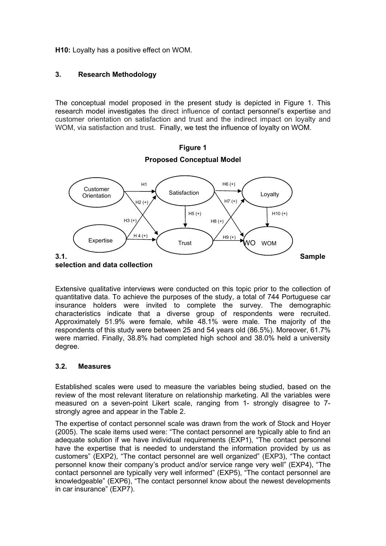**H10:** Loyalty has a positive effect on WOM.

### **3. Research Methodology**

The conceptual model proposed in the present study is depicted in Figure 1. This research model investigates the direct influence of contact personnel's expertise and customer orientation on satisfaction and trust and the indirect impact on loyalty and WOM, via satisfaction and trust. Finally, we test the influence of loyalty on WOM.



**Figure 1 Proposed Conceptual Model**

Extensive qualitative interviews were conducted on this topic prior to the collection of quantitative data. To achieve the purposes of the study, a total of 744 Portuguese car insurance holders were invited to complete the survey. The demographic characteristics indicate that a diverse group of respondents were recruited. Approximately 51.9% were female, while 48.1% were male. The majority of the respondents of this study were between 25 and 54 years old (86.5%). Moreover, 61.7% were married. Finally, 38.8% had completed high school and 38.0% held a university degree.

# **3.2. Measures**

Established scales were used to measure the variables being studied, based on the review of the most relevant literature on relationship marketing. All the variables were measured on a seven-point Likert scale, ranging from 1- strongly disagree to 7 strongly agree and appear in the Table 2.

The expertise of contact personnel scale was drawn from the work of Stock and Hoyer (2005). The scale items used were: "The contact personnel are typically able to find an adequate solution if we have individual requirements (EXP1), "The contact personnel have the expertise that is needed to understand the information provided by us as customers" (EXP2), "The contact personnel are well organized" (EXP3), "The contact personnel know their company's product and/or service range very well" (EXP4), "The contact personnel are typically very well informed" (EXP5), "The contact personnel are knowledgeable" (EXP6), "The contact personnel know about the newest developments in car insurance" (EXP7).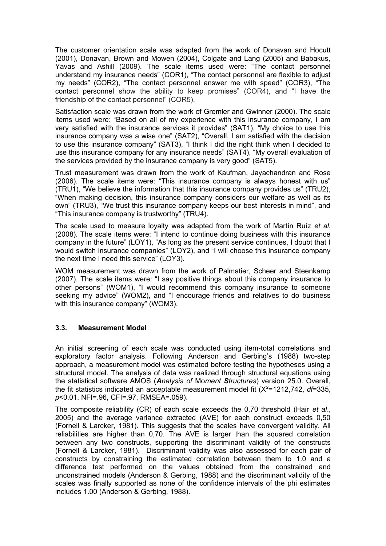The customer orientation scale was adapted from the work of Donavan and Hocutt (2001), Donavan, Brown and Mowen (2004), Colgate and Lang (2005) and Babakus, Yavas and Ashill (2009). The scale items used were: "The contact personnel understand my insurance needs" (COR1), "The contact personnel are flexible to adjust my needs" (COR2), "The contact personnel answer me with speed" (COR3), "The contact personnel show the ability to keep promises" (COR4), and "I have the friendship of the contact personnel" (COR5).

Satisfaction scale was drawn from the work of Gremler and Gwinner (2000). The scale items used were: "Based on all of my experience with this insurance company, I am very satisfied with the insurance services it provides" (SAT1), "My choice to use this insurance company was a wise one" (SAT2), "Overall, I am satisfied with the decision to use this insurance company" (SAT3), "I think I did the right think when I decided to use this insurance company for any insurance needs" (SAT4), "My overall evaluation of the services provided by the insurance company is very good" (SAT5).

Trust measurement was drawn from the work of Kaufman, Jayachandran and Rose (2006). The scale items were: "This insurance company is always honest with us" (TRU1), "We believe the information that this insurance company provides us" (TRU2), "When making decision, this insurance company considers our welfare as well as its own" (TRU3), "We trust this insurance company keeps our best interests in mind", and "This insurance company is trustworthy" (TRU4).

The scale used to measure loyalty was adapted from the work of Martín Ruíz *et al.* (2008). The scale items were: "I intend to continue doing business with this insurance company in the future" (LOY1), "As long as the present service continues, I doubt that I would switch insurance companies" (LOY2), and "I will choose this insurance company the next time I need this service" (LOY3).

WOM measurement was drawn from the work of Palmatier, Scheer and Steenkamp (2007). The scale items were: "I say positive things about this company insurance to other persons" (WOM1), "I would recommend this company insurance to someone seeking my advice" (WOM2), and "I encourage friends and relatives to do business with this insurance company" (WOM3).

# **3.3. Measurement Model**

An initial screening of each scale was conducted using item-total correlations and exploratory factor analysis. Following Anderson and Gerbing's (1988) two-step approach, a measurement model was estimated before testing the hypotheses using a structural model. The analysis of data was realized through structural equations using the statistical software AMOS (*Analysis of* Mo*ment Structures*) version 25.0. Overall, the fit statistics indicated an acceptable measurement model fit  $(X^2=1212,742, df=335,$ *p*<0.01, NFI=.96, CFI=.97, RMSEA=.059).

The composite reliability (CR) of each scale exceeds the 0,70 threshold (Hair *et al*., 2005) and the average variance extracted (AVE) for each construct exceeds 0,50 (Fornell & Larcker, 1981). This suggests that the scales have convergent validity. All reliabilities are higher than 0,70. The AVE is larger than the squared correlation between any two constructs, supporting the discriminant validity of the constructs (Fornell & Larcker, 1981). Discriminant validity was also assessed for each pair of constructs by constraining the estimated correlation between them to 1.0 and a difference test performed on the values obtained from the constrained and unconstrained models (Anderson & Gerbing, 1988) and the discriminant validity of the scales was finally supported as none of the confidence intervals of the phi estimates includes 1.00 (Anderson & Gerbing, 1988).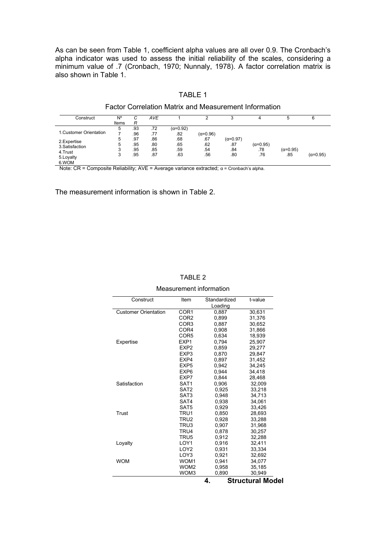As can be seen from Table 1, coefficient alpha values are all over 0.9. The Cronbach's alpha indicator was used to assess the initial reliability of the scales, considering a minimum value of .7 (Cronbach, 1970; Nunnaly, 1978). A factor correlation matrix is also shown in Table 1.

|--|--|

| <b>Factor Correlation Matrix and Measurement Information</b> |
|--------------------------------------------------------------|
|                                                              |

| Construct               | N°    | С   | <b>AVE</b> |                   |                   | ົ<br>u            |                   | 5                 | 6                 |
|-------------------------|-------|-----|------------|-------------------|-------------------|-------------------|-------------------|-------------------|-------------------|
|                         | Items | R   |            |                   |                   |                   |                   |                   |                   |
|                         | 5     | .93 | .72        | $(\alpha = 0.92)$ |                   |                   |                   |                   |                   |
| 1. Customer Orientation |       | .96 | .77        | .82               | $(\alpha = 0.96)$ |                   |                   |                   |                   |
| 2. Expertise            | 5     | .97 | .86        | .68               | .67               | $(\alpha = 0.97)$ |                   |                   |                   |
| 3. Satisfaction         | 5     | .95 | .80        | .65               | .62               | .87               | $(\alpha = 0.95)$ |                   |                   |
| 4. Trust                |       | .95 | .85        | .59               | .54               | .84               | .78               | $(\alpha = 0.95)$ |                   |
| 5. Lovalty              |       | .95 | .87        | .63               | .56               | .80               | .76               | .85               | $(\alpha = 0.95)$ |
| 6.WOM                   |       |     |            |                   |                   |                   |                   |                   |                   |

Note: CR = Composite Reliability; AVE = Average variance extracted;  $α =$  Cronbach's alpha.

The measurement information is shown in Table 2.

|                             |                          | Λ              | Structural Mod   |
|-----------------------------|--------------------------|----------------|------------------|
|                             | WOM3                     | 0.890          | 30.949           |
|                             | WOM <sub>2</sub>         | 0,958          | 35,185           |
| <b>WOM</b>                  | WOM1                     | 0.941          | 34,077           |
|                             | LOY3                     | 0,921          | 32,692           |
|                             | LOY <sub>2</sub>         | 0.931          | 33.334           |
| Loyalty                     | LOY1                     | 0,916          | 32,411           |
|                             | TRU5                     | 0.912          | 32,288           |
|                             | TRU4                     | 0.878          | 30.257           |
|                             | TRU3                     | 0,907          | 31,968           |
|                             | TRU2                     | 0,928          | 33,288           |
| Trust                       | TRU1                     | 0.850          | 28,693           |
|                             | SAT <sub>5</sub>         | 0,929          | 33.426           |
|                             | SAT4                     | 0.938          | 34.061           |
|                             | SAT <sub>3</sub>         | 0,948          | 34,713           |
|                             | SAT <sub>2</sub>         | 0,925          | 33,218           |
| Satisfaction                | SAT <sub>1</sub>         | 0.906          | 32,009           |
|                             | EXP7                     | 0,844          | 28,468           |
|                             | EXP6                     | 0.944          | 34,418           |
|                             | EXP5                     | 0.942          | 34.245           |
|                             | EXP4                     | 0,897          | 31,452           |
|                             | EXP3                     | 0,870          | 29,847           |
| Expertise                   | EXP <sub>2</sub>         | 0,859          | 29,277           |
|                             | EXP1                     | 0,794          | 18,939<br>25,907 |
|                             | COR <sub>5</sub>         | 0,908<br>0.634 | 31,866           |
|                             | COR <sub>3</sub><br>COR4 | 0,887          | 30,652           |
|                             | COR <sub>2</sub>         | 0,899          | 31,376           |
| <b>Customer Orientation</b> | COR1                     | 0,887          | 30,631           |
|                             |                          | Loading        |                  |
| Construct                   | Item                     | Standardized   | t-value          |

TABLE 2

#### Measurement information

**4. Structural Model**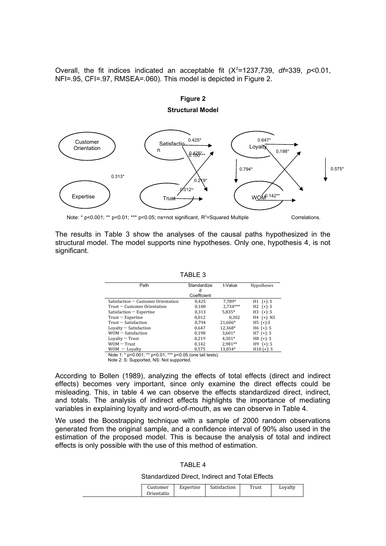Overall, the fit indices indicated an acceptable fit  $(X^2=1237,739, df=339, p<0.01$ . NFI=.95, CFI=.97, RMSEA=.060). This model is depicted in Figure 2.



The results in Table 3 show the analyses of the causal paths hypothesized in the structural model. The model supports nine hypotheses. Only one, hypothesis 4, is not

TABLE 3

| Path                                                      | Standardize | t-Value    | Hypotheses      |  |  |  |
|-----------------------------------------------------------|-------------|------------|-----------------|--|--|--|
|                                                           | d           |            |                 |  |  |  |
|                                                           | Coefficient |            |                 |  |  |  |
| Satisfaction $\sim$ Customer Orientation                  | 0.425       | 7.789*     | $H1$ (+): S     |  |  |  |
| Trust $\sim$ Customer Orientation                         | 0,100       | $2.734***$ | $H2$ (+): S     |  |  |  |
| Satisfaction $-$ Expertise                                | 0.313       | $5.835*$   | $H3$ (+): S     |  |  |  |
| $Trust - Expertise$                                       | 0.012       | 0.302      | $H4$ $(+)$ : NS |  |  |  |
| Trust $\sim$ Satisfaction                                 | 0.794       | 21,606*    | $H5 (+):S$      |  |  |  |
| Lovalty $\sim$ Satisfaction                               | 0.647       | 12,368*    | $H6 (+): S$     |  |  |  |
| $WOM - Satisfactor$                                       | 0.198       | $3,601*$   | $H7 (+): S$     |  |  |  |
| Lovalty $-$ Trust                                         | 0.219       | 4.301*     | $H8 (+): S$     |  |  |  |
| $WOM - Trust$                                             | 0.142       | 2,981**    | $H9$ (+): S     |  |  |  |
| $WOM$ – Loyalty                                           | 0.575       | 13,054*    | $H10 (+): S$    |  |  |  |
| Note 1: * n<0.001: ** n<0.01: *** n<0.05 (one tail tests) |             |            |                 |  |  |  |

Note 1: \* p<0.001; \*\* p<0.01; \*\*\* p<0.05 (one tail tests). Note 2: S: Supported, NS: Not supported.

significant.

According to Bollen (1989), analyzing the effects of total effects (direct and indirect effects) becomes very important, since only examine the direct effects could be misleading. This, in table 4 we can observe the effects standardized direct, indirect, and totals. The analysis of indirect effects highlights the importance of mediating variables in explaining loyalty and word-of-mouth, as we can observe in Table 4.

We used the Boostrapping technique with a sample of 2000 random observations generated from the original sample, and a confidence interval of 90% also used in the estimation of the proposed model. This is because the analysis of total and indirect effects is only possible with the use of this method of estimation.

TABLE 4

Standardized Direct, Indirect and Total Effects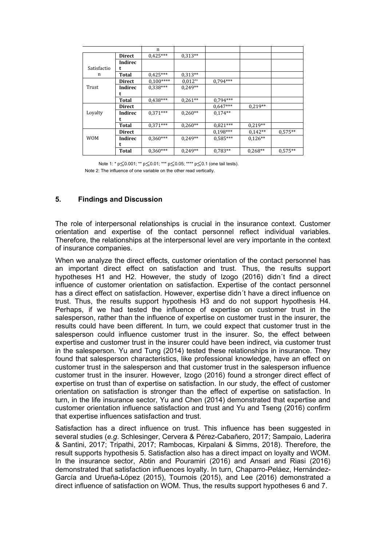|             |                | n          |                     |            |           |           |
|-------------|----------------|------------|---------------------|------------|-----------|-----------|
|             | <b>Direct</b>  | $0,425***$ | $0.313**$           |            |           |           |
|             | Indirec        |            |                     |            |           |           |
| Satisfactio | t              |            |                     |            |           |           |
| n           | Total          | $0.425***$ | $0.313**$           |            |           |           |
|             | <b>Direct</b>  | $0,100***$ | 0.012 <sup>ns</sup> | $0.794***$ |           |           |
| Trust       | Indirec        | $0.338***$ | $0.249**$           |            |           |           |
|             | t              |            |                     |            |           |           |
|             | Total          | $0.438***$ | $0.261**$           | $0,794***$ |           |           |
|             | <b>Direct</b>  |            |                     | $0,647***$ | $0.219**$ |           |
| Loyalty     | <b>Indirec</b> | $0,371***$ | $0.260**$           | $0,174**$  |           |           |
|             | t              |            |                     |            |           |           |
|             | Total          | $0.371***$ | $0.260**$           | $0.821***$ | $0.219**$ |           |
|             | <b>Direct</b>  |            |                     | $0,198***$ | $0,142**$ | $0.575**$ |
| <b>WOM</b>  | Indirec        | $0,360***$ | $0.249**$           | $0,585***$ | $0.126**$ |           |
|             | t              |            |                     |            |           |           |
|             | Total          | $0,360***$ | $0.249**$           | $0,783**$  | $0.268**$ | $0,575**$ |

 Note 1: \* p*≤*0.001; \*\* p*≤*0.01; \*\*\* p*≤*0.05; \*\*\*\* p*≤*0.1 (one tail tests). Note 2: The influence of one variable on the other read vertically.

**5. Findings and Discussion**

The role of interpersonal relationships is crucial in the insurance context. Customer orientation and expertise of the contact personnel reflect individual variables. Therefore, the relationships at the interpersonal level are very importante in the context of insurance companies.

When we analyze the direct effects, customer orientation of the contact personnel has an important direct effect on satisfaction and trust. Thus, the results support hypotheses H1 and H2. However, the study of Izogo (2016) didn´t find a direct influence of customer orientation on satisfaction. Expertise of the contact personnel has a direct effect on satisfaction. However, expertise didn´t have a direct influence on trust. Thus, the results support hypothesis H3 and do not support hypothesis H4. Perhaps, if we had tested the influence of expertise on customer trust in the salesperson, rather than the influence of expertise on customer trust in the insurer, the results could have been different. In turn, we could expect that customer trust in the salesperson could influence customer trust in the insurer. So, the effect between expertise and customer trust in the insurer could have been indirect, via customer trust in the salesperson. Yu and Tung (2014) tested these relationships in insurance. They found that salesperson characteristics, like professional knowledge, have an effect on customer trust in the salesperson and that customer trust in the salesperson influence customer trust in the insurer. However, Izogo (2016) found a stronger direct effect of expertise on trust than of expertise on satisfaction. In our study, the effect of customer orientation on satisfaction is stronger than the effect of expertise on satisfaction. In turn, in the life insurance sector, Yu and Chen (2014) demonstrated that expertise and customer orientation influence satisfaction and trust and Yu and Tseng (2016) confirm that expertise influences satisfaction and trust.

Satisfaction has a direct influence on trust. This influence has been suggested in several studies (*e.g*. Schlesinger, Cervera & Pérez-Cabañero, 2017; Sampaio, Laderira & Santini, 2017; Tripathi, 2017; Rambocas, Kirpalani & Simms, 2018). Therefore, the result supports hypothesis 5. Satisfaction also has a direct impact on loyalty and WOM. In the insurance sector, Abtin and Pouramiri (2016) and Ansari and Riasi (2016) demonstrated that satisfaction influences loyalty. In turn, Chaparro-Peláez, Hernández-García and Urueña-López (2015), Tournois (2015), and Lee (2016) demonstrated a direct influence of satisfaction on WOM. Thus, the results support hypotheses 6 and 7.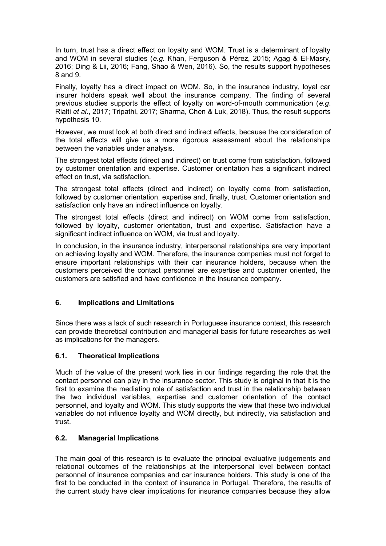In turn, trust has a direct effect on loyalty and WOM. Trust is a determinant of loyalty and WOM in several studies (*e.g.* Khan, Ferguson & Pérez, 2015; Agag & El-Masry, 2016; Ding & Lii, 2016; Fang, Shao & Wen, 2016). So, the results support hypotheses 8 and 9.

Finally, loyalty has a direct impact on WOM. So, in the insurance industry, loyal car insurer holders speak well about the insurance company. The finding of several previous studies supports the effect of loyalty on word-of-mouth communication (*e.g*. Rialti *et al*., 2017; Tripathi, 2017; Sharma, Chen & Luk, 2018). Thus, the result supports hypothesis 10.

However, we must look at both direct and indirect effects, because the consideration of the total effects will give us a more rigorous assessment about the relationships between the variables under analysis.

The strongest total effects (direct and indirect) on trust come from satisfaction, followed by customer orientation and expertise. Customer orientation has a significant indirect effect on trust, via satisfaction.

The strongest total effects (direct and indirect) on loyalty come from satisfaction, followed by customer orientation, expertise and, finally, trust. Customer orientation and satisfaction only have an indirect influence on loyalty.

The strongest total effects (direct and indirect) on WOM come from satisfaction, followed by loyalty, customer orientation, trust and expertise. Satisfaction have a significant indirect influence on WOM, via trust and loyalty.

In conclusion, in the insurance industry, interpersonal relationships are very important on achieving loyalty and WOM. Therefore, the insurance companies must not forget to ensure important relationships with their car insurance holders, because when the customers perceived the contact personnel are expertise and customer oriented, the customers are satisfied and have confidence in the insurance company.

### **6. Implications and Limitations**

Since there was a lack of such research in Portuguese insurance context, this research can provide theoretical contribution and managerial basis for future researches as well as implications for the managers.

### **6.1. Theoretical Implications**

Much of the value of the present work lies in our findings regarding the role that the contact personnel can play in the insurance sector. This study is original in that it is the first to examine the mediating role of satisfaction and trust in the relationship between the two individual variables, expertise and customer orientation of the contact personnel, and loyalty and WOM. This study supports the view that these two individual variables do not influence loyalty and WOM directly, but indirectly, via satisfaction and trust.

### **6.2. Managerial Implications**

The main goal of this research is to evaluate the principal evaluative judgements and relational outcomes of the relationships at the interpersonal level between contact personnel of insurance companies and car insurance holders. This study is one of the first to be conducted in the context of insurance in Portugal. Therefore, the results of the current study have clear implications for insurance companies because they allow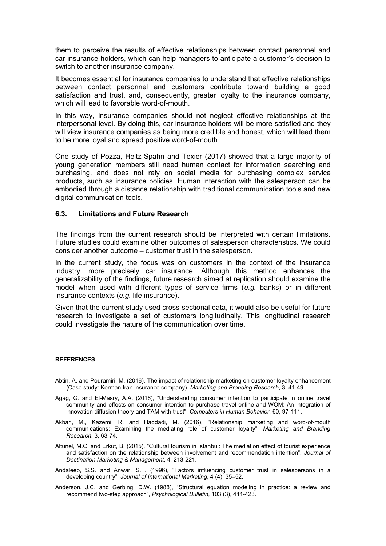them to perceive the results of effective relationships between contact personnel and car insurance holders, which can help managers to anticipate a customer's decision to switch to another insurance company.

It becomes essential for insurance companies to understand that effective relationships between contact personnel and customers contribute toward building a good satisfaction and trust, and, consequently, greater loyalty to the insurance company, which will lead to favorable word-of-mouth.

In this way, insurance companies should not neglect effective relationships at the interpersonal level. By doing this, car insurance holders will be more satisfied and they will view insurance companies as being more credible and honest, which will lead them to be more loyal and spread positive word-of-mouth.

One study of Pozza, Heitz-Spahn and Texier (2017) showed that a large majority of young generation members still need human contact for information searching and purchasing, and does not rely on social media for purchasing complex service products, such as insurance policies. Human interaction with the salesperson can be embodied through a distance relationship with traditional communication tools and new digital communication tools.

#### **6.3. Limitations and Future Research**

The findings from the current research should be interpreted with certain limitations. Future studies could examine other outcomes of salesperson characteristics. We could consider another outcome – customer trust in the salesperson.

In the current study, the focus was on customers in the context of the insurance industry, more precisely car insurance. Although this method enhances the generalizability of the findings, future research aimed at replication should examine the model when used with different types of service firms (*e.g.* banks) or in different insurance contexts (*e.g.* life insurance).

Given that the current study used cross-sectional data, it would also be useful for future research to investigate a set of customers longitudinally. This longitudinal research could investigate the nature of the communication over time.

#### **REFERENCES**

- Abtin, A. and Pouramiri, M. (2016). The impact of relationship marketing on customer loyalty enhancement (Case study: Kerman Iran insurance company). *Marketing and Branding Research*, 3, 41-49.
- Agag, G. and El-Masry, A.A. (2016), "Understanding consumer intention to participate in online travel community and effects on consumer intention to purchase travel online and WOM: An integration of innovation diffusion theory and TAM with trust", *Computers in Human Behavior*, 60, 97-111.
- Akbari, M., Kazemi, R. and Haddadi, M. (2016), "Relationship marketing and word-of-mouth communications: Examining the mediating role of customer loyalty", *Marketing and Branding Research*, 3, 63-74.
- Altunel, M.C. and Erkut, B. (2015), "Cultural tourism in Istanbul: The mediation effect of tourist experience and satisfaction on the relationship between involvement and recommendation intention", *Journal of Destination Marketing & Management*, 4, 213-221.
- Andaleeb, S.S. and Anwar, S.F. (1996), "Factors influencing customer trust in salespersons in a developing country", *Journal of International Marketing*, 4 (4), 35–52.
- Anderson, J.C. and Gerbing, D.W. (1988), "Structural equation modeling in practice: a review and recommend two-step approach", *Psychological Bulletin*, 103 (3), 411-423.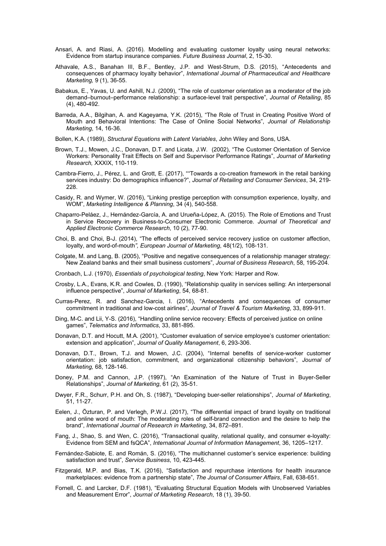- Ansari, A. and Riasi, A. (2016). Modelling and evaluating customer loyalty using neural networks: Evidence from startup insurance companies. *Future Business Journal*, 2, 15-30.
- Athavale, A.S., Banahan III, B.F., Bentley, J.P. and West-Strum, D.S. (2015), "Antecedents and consequences of pharmacy loyalty behavior", *International Journal of Pharmaceutical and Healthcare Marketing,* 9 (1), 36-55.
- Babakus, E., Yavas, U. and Ashill, N.J. (2009), "The role of customer orientation as a moderator of the job demand–burnout–performance relationship: a surface-level trait perspective", *Journal of Retailing*, 85 (4), 480-492.
- Barreda, A.A., Bilgihan, A. and Kageyama, Y.K. (2015), "The Role of Trust in Creating Positive Word of Mouth and Behavioral Intentions: The Case of Online Social Networks", *Journal of Relationship Marketing*, 14, 16-36.
- Bollen, K.A. (1989), *Structural Equations with Latent Variables*, John Wiley and Sons, USA.
- Brown, T.J., Mowen, J.C., Donavan, D.T. and Licata, J.W. (2002), "The Customer Orientation of Service Workers: Personality Trait Effects on Self and Supervisor Performance Ratings", *Journat of Marketing Research,* XXXIX, 110-119.
- Cambra-Fierro, J., Pérez, L. and Grott, E. (2017), ""Towards a co-creation framework in the retail banking services industry: Do demographics influence?", *Journal of Retailing and Consumer Services*, 34, 219- 228.
- Casidy, R. and Wymer, W. (2016), "Linking prestige perception with consumption experience, loyalty, and WOM", *Marketing Intelligence & Planning*, 34 (4), 540-558.
- Chaparro-Peláez, J., Hernández-García, A. and Urueña-López, A. (2015). The Role of Emotions and Trust in Service Recovery in Business-to-Consumer Electronic Commerce. *Journal of Theoretical and Applied Electronic Commerce Research*, 10 (2), 77-90.
- Choi, B. and Choi, B-J. (2014), "The effects of perceived service recovery justice on customer affection, loyalty, and word-of-mouth*", European Journal of Marketing*, 48(1/2), 108-131.
- Colgate, M. and Lang, B. (2005), "Positive and negative consequences of a relationship manager strategy: New Zealand banks and their small business customers", *Journal of Business Research*, 58, 195-204.
- Cronbach, L.J. (1970), *Essentials of psychological testing*, New York: Harper and Row.
- Crosby, L.A., Evans, K.R. and Cowles, D. (1990), "Relationship quality in services selling: An interpersonal influence perspective", *Journal of Marketing*, 54, 68-81.
- Curras-Perez, R. and Sanchez-Garcia, I. (2016), "Antecedents and consequences of consumer commitment in traditional and low-cost airlines", *Journal of Travel & Tourism Marketing*, 33, 899-911.
- Ding, M-C. and Lii, Y-S. (2016), "Handling online service recovery: Effects of perceived justice on online games", *Telematics and Informatics*, 33, 881-895.
- Donavan, D.T. and Hocutt, M.A. (2001), "Customer evaluation of service employee's customer orientation: extension and application", *Journal of Quality Management*, 6, 293-306.
- Donavan, D.T., Brown, T.J. and Mowen, J.C. (2004), "Internal benefits of service-worker customer orientation: job satisfaction, commitment, and organizational citizenship behaviors", *Journal of Marketing,* 68, 128-146.
- Doney, P.M. and Cannon, J.P. (1997), "An Examination of the Nature of Trust in Buyer-Seller Relationships", *Journal of Marketing*, 61 (2), 35-51.
- Dwyer, F.R., Schurr, P.H. and Oh, S. (1987), "Developing buer-seller relationships", *Journal of Marketing*, 51, 11-27.
- Eelen, J., Özturan, P. and Verlegh, P.W.J. (2017), "The differential impact of brand loyalty on traditional and online word of mouth: The moderating roles of self-brand connection and the desire to help the brand", *International Journal of Research in Marketing*, 34, 872–891.
- Fang, J., Shao, S. and Wen, C. (2016), "Transactional quality, relational quality, and consumer e-loyalty: Evidence from SEM and fsQCA", *International Journal of Information Management*, 36, 1205–1217.
- Fernández-Sabiote, E. and Román, S. (2016), "The multichannel customer's service experience: building satisfaction and trust", *Service Business*, 10, 423-445.
- Fitzgerald, M.P. and Bias, T.K. (2016), "Satisfaction and repurchase intentions for health insurance marketplaces: evidence from a partnership state", *The Journal of Consumer Affairs*, Fall, 638-651.
- Fornell, C. and Larcker, D.F. (1981), "Evaluating Structural Equation Models with Unobserved Variables and Measurement Error", *Journal of Marketing Research*, 18 (1), 39-50.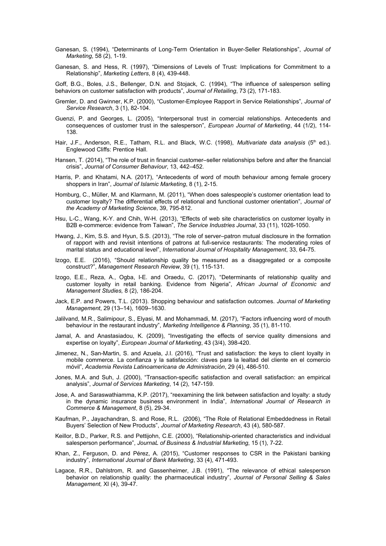- Ganesan, S. (1994), "Determinants of Long-Term Orientation in Buyer-Seller Relationships", *Journal of Marketing*, 58 (2), 1-19.
- Ganesan, S. and Hess, R. (1997), "Dimensions of Levels of Trust: Implications for Commitment to a Relationship", *Marketing Letters*, 8 (4), 439-448.

Goff, B.G., Boles, J.S., Bellenger, D.N. and Stojack, C. (1994), "The influence of salesperson selling behaviors on customer satisfaction with products", *Journal of Retailing*, 73 (2), 171-183.

- Gremler, D. and Gwinner, K.P. (2000), "Customer-Employee Rapport in Service Relationships", *Journal of Service Research*, 3 (1), 82-104.
- Guenzi, P. and Georges, L. (2005), "Interpersonal trust in comercial relationships. Antecedents and consequences of customer trust in the salesperson", *European Journal of Marketing*, 44 (1/2), 114- 138.
- Hair, J.F., Anderson, R.E., Tatham, R.L. and Black, W.C. (1998), *Multivariate data analysis* (5<sup>th</sup> ed.). Englewood Cliffs: Prentice Hall.
- Hansen, T. (2014), "The role of trust in financial customer–seller relationships before and after the financial crisis", *Journal of Consumer Behaviour*, 13, 442–452.
- Harris, P. and Khatami, N.A. (2017), "Antecedents of word of mouth behaviour among female grocery shoppers in Iran", *Journal of Islamic Marketing*, 8 (1), 2-15.
- Homburg, C., Müller, M. and Klarmann, M. (2011), "When does salespeople's customer orientation lead to customer loyalty? The differential effects of relational and functional customer orientation", *Journal of the Academy of Marketing Science*, 39, 795-812.
- Hsu, L-C., Wang, K-Y. and Chih, W-H. (2013), "Effects of web site characteristics on customer loyalty in B2B e-commerce: evidence from Taiwan", *The Service Industries Journal*, 33 (11), 1026-1050.
- Hwang, J., Kim, S.S. and Hyun, S.S. (2013), "The role of server–patron mutual disclosure in the formation of rapport with and revisit intentions of patrons at full-service restaurants: The moderating roles of marital status and educational level", *International Journal of Hospitality Management*, 33, 64-75.
- Izogo, E.E. (2016), "Should relationship quality be measured as a disaggregated or a composite construct?", *Management Research Review*, 39 (1), 115-131.
- Izogo, E.E., Reza, A., Ogba, I-E. and Oraedu, C. (2017), "Determinants of relationship quality and customer loyalty in retail banking. Evidence from Nigeria", *African Journal of Economic and Management Studies,* 8 (2), 186-204.
- Jack, E.P. and Powers, T.L. (2013). Shopping behaviour and satisfaction outcomes. *Journal of Marketing Management*, 29 (13–14), 1609–1630.
- Jalilvand, M.R., Salimipour, S., Elyasi, M. and Mohammadi, M. (2017), "Factors influencing word of mouth behaviour in the restaurant industry", *Marketing Intelligence & Planning*, 35 (1), 81-110.
- Jamal, A. and Anastasiadou, K. (2009), "Investigating the effects of service quality dimensions and expertise on loyalty", *European Journal of Marketing*, 43 (3/4), 398-420.
- Jimenez, N., San-Martin, S. and Azuela, J.I. (2016), "Trust and satisfaction: the keys to client loyalty in mobile commerce. La confianza y la satisfacción: claves para la lealtad del cliente en el comercio móvil", *Academia Revista Latinoamericana de Administración*, 29 (4), 486-510.
- Jones, M.A. and Suh, J. (2000), "Transaction-specific satisfaction and overall satisfaction: an empirical analysis", *Journal of Services Marketing*, 14 (2), 147-159.
- Jose, A. and Saraswathiamma, K.P. (2017), "reexamining the link between satisfaction and loyalty: a study in the dynamic insurance business environment in India", *International Journal of Research in Commerce & Management*, 8 (5), 29-34.
- Kaufman, P., Jayachandran, S. and Rose, R.L. (2006), "The Role of Relational Embeddedness in Retail Buyers' Selection of New Products", *Journal of Marketing Research*, 43 (4), 580-587.
- Keillor, B.D., Parker, R.S. and Pettijohn, C.E. (2000), "Relationship-oriented characteristics and individual salesperson performance", *JournaL of Business & Industrial Marketing*, 15 (1), 7-22.
- Khan, Z., Ferguson, D. and Pérez, A. (2015), "Customer responses to CSR in the Pakistani banking industry", *International Journal of Bank Marketing*, 33 (4), 471-493.
- Lagace, R.R., Dahlstrom, R. and Gassenheimer, J.B. (1991), "The relevance of ethical salesperson behavior on relationship quality: the pharmaceutical industry", *Journal of Personal Selling & Sales Management,* XI (4), 39-47.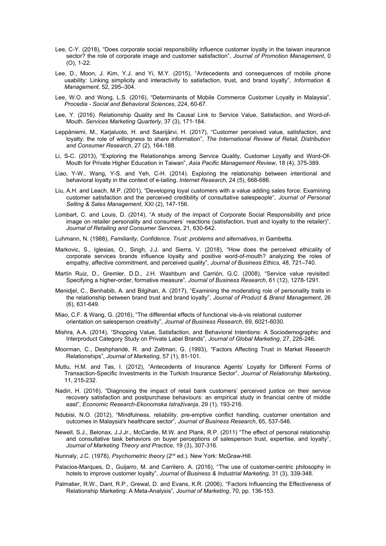- Lee, C-Y. (2018), "Does corporate social responsibility influence customer loyalty in the taiwan insurance sector? the role of corporate image and customer satisfaction", *Journal of Promotion Management*, 0 (O), 1-22.
- Lee, D., Moon, J. Kim, Y.J. and Yi, M.Y. (2015), "Antecedents and consequences of mobile phone usability: Linking simplicity and interactivity to satisfaction, trust, and brand loyalty", *Information & Management*, 52, 295–304.
- Lee, W.O. and Wong, L.S. (2016), "Determinants of Mobile Commerce Customer Loyalty in Malaysia", *Procedia - Social and Behavioral Sciences*, 224, 60-67.
- Lee, Y. (2016). Relationship Quality and Its Causal Link to Service Value, Satisfaction, and Word-of-Mouth. *Services Marketing Quarterly*, 37 (3), 171-184.
- Leppäniemi, M., Karjaluoto, H. and Saarijärvi, H. (2017), "Customer perceived value, satisfaction, and loyalty: the role of willingness to share information", *The International Review of Retail, Distribution and Consumer Research*, 27 (2), 164-188.
- Li, S-C. (2013), "Exploring the Relationships among Service Quality, Customer Loyalty and Word-Of-Mouth for Private Higher Education in Taiwan", *Asia Pacific Management Review*, 18 (4), 375-389.
- Liao, Y-W., Wang, Y-S. and Yeh, C-H. (2014). Exploring the relationship between intentional and behavioral loyalty in the context of e-tailing. *Internet Research*, 24 (5), 668-686.
- Liu, A.H. and Leach, M.P. (2001), "Developing loyal customers with a value adding sales force: Examining customer satisfaction and the perceived credibility of consultative salespeople", *Journal of Personal Selling & Sales Management*, XXI (2), 147-156.
- Lombart, C. and Louis, D. (2014), "A study of the impact of Corporate Social Responsibility and price image on retailer personality and consumers' reactions (satisfaction, trust and loyalty to the retailer)", *Journal of Retailing and Consumer Services*, 21, 630-642.
- Luhmann, N. (1988), *Familiarity, Confidence, Trust: problems and alternatives*, in Gambetta.
- Markovic, S., Iglesias, O., Singh, J.J. and Sierra, V. (2018), "How does the perceived ethicality of corporate services brands influence loyalty and positive word-of-mouth? analyzing the roles of empathy, affective commitment, and perceived quality", *Journal of Business Ethics,* 48, 721–740.
- Martín Ruiz, D., Gremler, D.D., J.H. Washburn and Carrión, G.C. (2008), "Service value revisited: Specifying a higher-order, formative measure", *Journal of Business Research*, 61 (12), 1278-1291.
- Menidjel, C., Benhabib, A. and Bilgihan, A. (2017), "Examining the moderating role of personality traits in the relationship between brand trust and brand loyalty", *Journal of Product & Brand Management*, 26 (6), 631-649.
- Miao, C.F. & Wang, G. (2016), "The differential effects of functional vis-à-vis relational customer orientation on salesperson creativity", *Journal of Business Research*, 69, 6021-6030.
- Mishra, A.A. (2014), "Shopping Value, Satisfaction, and Behavioral Intentions: A Sociodemographic and Interproduct Category Study on Private Label Brands", *Journal of Global Marketing*, 27, 226-246.
- Moorman, C., Deshphandé, R. and Zaltman, G. (1993), "Factors Affecting Trust in Market Research Relationships", *Journal of Marketing*, 57 (1), 81-101.
- Mutlu, H.M. and Tas, I. (2012), "Antecedents of Insurance Agents' Loyalty for Different Forms of Transaction-Specific Investments in the Turkish Insurance Sector", *Journal of Relationship Marketing*, 11, 215-232.
- Nadiri, H. (2016), "Diagnosing the impact of retail bank customers' perceived justice on their service recovery satisfaction and postpurchase behaviours: an empirical study in financial centre of middle east", *Economic Research-Ekonomska Istraživanja*, 29 (1), 193-216.
- Ndubisi, N.O. (2012), "Mindfulness, reliability, pre-emptive conflict handling, customer orientation and outcomes in Malaysia's healthcare sector", *Journal of Business Research*, 65, 537-546.
- Newell, S.J., Belonax, J.J.Jr., McCardle, M.W. and Plank, R.P. (2011) "The effect of personal relationship and consultative task behaviors on buyer perceptions of salesperson trust, expertise, and loyalty", *Journal of Marketing Theory and Practice,* 19 (3), 307-316.
- Nunnaly, J.C. (1978), *Psychometric theory* (2nd ed.). New York: McGraw-Hill.
- Palacios-Marques, D., Guijarro, M. and Carrilero. A. (2016), "The use of customer-centric philosophy in hotels to improve customer loyalty", *Journal of Business & Industrial Marketing*, 31 (3), 339-348.
- Palmatier, R.W., Dant, R.P., Grewal, D. and Evans, K.R. (2006), "Factors Influencing the Effectiveness of Relationship Marketing: A Meta-Analysis", *Journal of Marketing*, 70, pp. 136-153.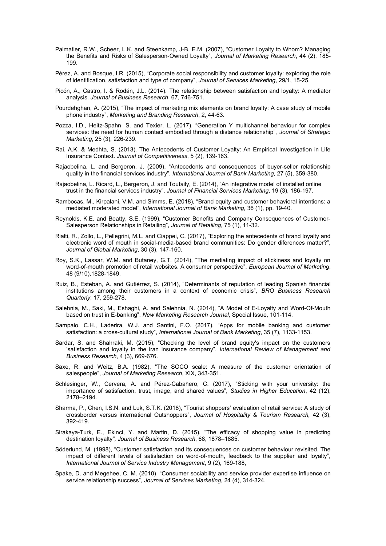- Palmatier, R.W., Scheer, L.K. and Steenkamp, J-B. E.M. (2007), "Customer Loyalty to Whom? Managing the Benefits and Risks of Salesperson-Owned Loyalty", *Journal of Marketing Research*, 44 (2), 185- 199.
- Pérez, A. and Bosque, I.R. (2015), "Corporate social responsibility and customer loyalty: exploring the role of identification, satisfaction and type of company", *Journal of Services Marketing*, 29/1, 15-25.
- Picón, A., Castro, I. & Rodán, J.L. (2014). The relationship between satisfaction and loyalty: A mediator analysis. *Journal of Business Research*, 67, 746-751.
- Pourdehghan, A. (2015), "The impact of marketing mix elements on brand loyalty: A case study of mobile phone industry", *Marketing and Branding Research*, 2, 44-63.
- Pozza, I.D., Heitz-Spahn, S. and Texier, L. (2017), "Generation Y multichannel behaviour for complex services: the need for human contact embodied through a distance relationship", *Journal of Strategic Marketing*, 25 (3), 226-239.
- Rai, A.K. & Medhta, S. (2013). The Antecedents of Customer Loyalty: An Empirical Investigation in Life Insurance Context. *Journal of Competitiveness*, 5 (2), 139-163.
- Rajaobelina, L. and Bergeron, J. (2009), "Antecedents and consequences of buyer-seller relationship quality in the financial services industry", *International Journal of Bank Marketing,* 27 (5), 359-380.
- Rajaobelina, L. Ricard, L., Bergeron, J. and Toufaily, E. (2014), "An integrative model of installed online trust in the financial services industry", *Journal of Financial Services Marketing*, 19 (3), 186-197.
- Rambocas, M., Kirpalani, V.M. and Simms, E. (2018), "Brand equity and customer behavioral intentions: a mediated moderated model", *International Journal of Bank Marketing*, 36 (1), pp. 19-40.
- Reynolds, K.E. and Beatty, S.E. (1999), "Customer Benefits and Company Consequences of Customer-Salesperson Relationships in Retailing", *Journal of Retailing*, 75 (1), 11-32.
- Rialti, R., Zollo, L., Pellegrini, M.L. and Ciappei, C. (2017), "Exploring the antecedents of brand loyalty and electronic word of mouth in social-media-based brand communities: Do gender diferences matter?", *Journal of Global Marketing*, 30 (3), 147-160.
- Roy, S.K., Lassar, W.M. and Butaney, G.T. (2014), "The mediating impact of stickiness and loyalty on word-of-mouth promotion of retail websites. A consumer perspective", *European Journal of Marketing*, 48 (9/10),1828-1849.
- Ruiz, B., Esteban, A. and Gutiérrez, S. (2014), "Determinants of reputation of leading Spanish financial institutions among their customers in a context of economic crisis", *BRQ Business Research Quarterly*, 17, 259-278.
- Salehnia, M., Saki, M., Eshaghi, A. and Salehnia, N. (2014), "A Model of E-Loyalty and Word-Of-Mouth based on trust in E-banking", *New Marketing Research Journal*, Special Issue, 101-114.
- Sampaio, C.H., Laderira, W.J. and Santini, F.O. (2017), "Apps for mobile banking and customer satisfaction: a cross-cultural study", *International Journal of Bank Marketing*, 35 (7), 1133-1153.
- Sardar, S. and Shahraki, M. (2015), "Checking the level of brand equity's impact on the customers 'satisfaction and loyalty in the iran insurance company", *International Review of Management and Business Research*, 4 (3), 669-676.
- Saxe, R. and Weitz, B.A. (1982), "The SOCO scale: A measure of the customer orientation of salespeople", *Journal of Marketing Research*, XIX, 343-351.
- Schlesinger, W., Cervera, A. and Pérez-Cabañero, C. (2017), "Sticking with your university: the importance of satisfaction, trust, image, and shared values", *Studies in Higher Education*, 42 (12), 2178–2194.
- Sharma, P., Chen, I.S.N. and Luk, S.T.K. (2018), "Tourist shoppers' evaluation of retail service: A study of crossborder versus international Outshoppers", *Journal of Hospitality & Tourism Research,* 42 (3), 392-419.
- Sirakaya-Turk, E., Ekinci, Y. and Martin, D. (2015), "The efficacy of shopping value in predicting destination loyalty*", Journal of Business Research*, 68, 1878–1885.
- Söderlund, M. (1998), "Customer satisfaction and its consequences on customer behaviour revisited. The impact of different levels of satisfaction on word-of-mouth, feedback to the supplier and loyalty", *International Journal of Service Industry Management*, 9 (2), 169-188,
- Spake, D. and Megehee, C. M. (2010), "Consumer sociability and service provider expertise influence on service relationship success", *Journal of Services Marketing*, 24 (4), 314-324.